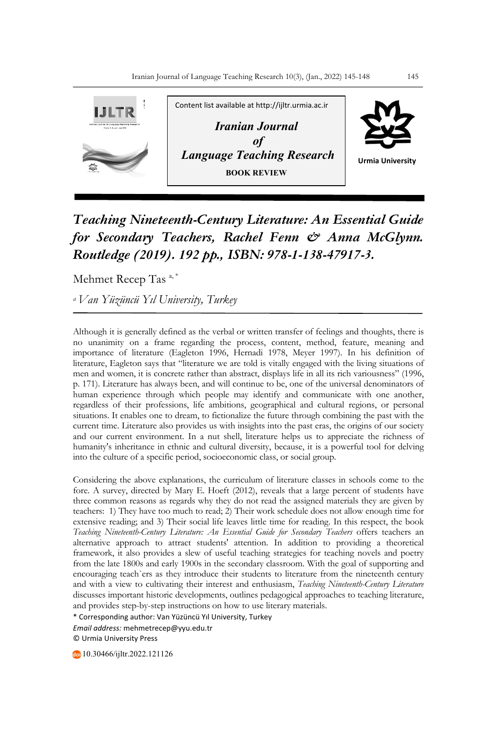

## *Teaching Nineteenth-Century Literature: An Essential Guide for Secondary Teachers, Rachel Fenn & Anna McGlynn. Routledge (2019). 192 pp., ISBN: 978-1-138-47917-3.*

Mehmet Recep Tas<sup>a,\*</sup>

*a Van Yüzüncü Yıl University, Turkey*

Although it is generally defined as the verbal or written transfer of feelings and thoughts, there is no unanimity on a frame regarding the process, content, method, feature, meaning and importance of literature (Eagleton 1996, Hernadi 1978, Meyer 1997). In his definition of literature, Eagleton says that "literature we are told is vitally engaged with the living situations of men and women, it is concrete rather than abstract, displays life in all its rich variousness" (1996, p. 171). Literature has always been, and will continue to be, one of the universal denominators of human experience through which people may identify and communicate with one another, regardless of their professions, life ambitions, geographical and cultural regions, or personal situations. It enables one to dream, to fictionalize the future through combining the past with the current time. Literature also provides us with insights into the past eras, the origins of our society and our current environment. In a nut shell, literature helps us to appreciate the richness of humanity's inheritance in ethnic and cultural diversity, because, it is a powerful tool for delving into the culture of a specific period, socioeconomic class, or social group.

Considering the above explanations, the curriculum of literature classes in schools come to the fore. A survey, directed by Mary E. Hoeft (2012), reveals that a large percent of students have three common reasons as regards why they do not read the assigned materials they are given by teachers: 1) They have too much to read; 2) Their work schedule does not allow enough time for extensive reading; and 3) Their social life leaves little time for reading. In this respect, the book *Teaching Nineteenth-Century Literature: An Essential Guide for Secondary Teachers* offers teachers an alternative approach to attract students' attention. In addition to providing a theoretical framework, it also provides a slew of useful teaching strategies for teaching novels and poetry from the late 1800s and early 1900s in the secondary classroom. With the goal of supporting and encouraging teach`ers as they introduce their students to literature from the nineteenth century and with a view to cultivating their interest and enthusiasm, *Teaching Nineteenth-Century Literature*  discusses important historic developments, outlines pedagogical approaches to teaching literature, and provides step-by-step instructions on how to use literary materials.

\* Corresponding author: Van Yüzüncü Yıl University, Turkey *Email address:* mehmetrecep@yyu.edu.tr © Urmia University Press

10.30466/ijltr.2022.121126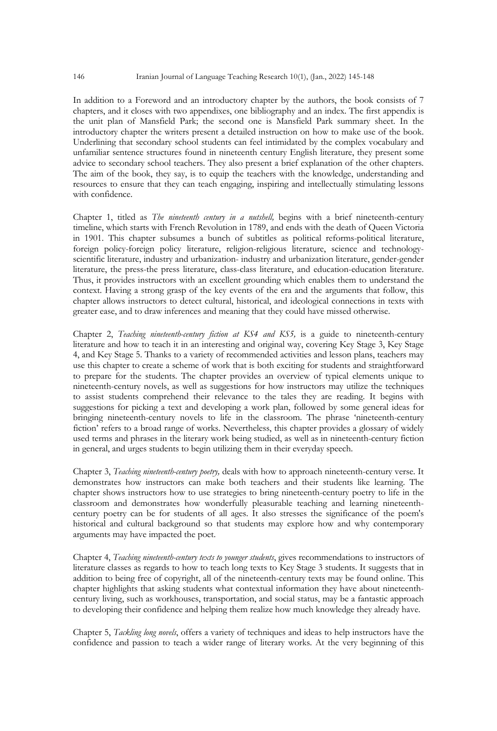In addition to a Foreword and an introductory chapter by the authors, the book consists of 7 chapters, and it closes with two appendixes, one bibliography and an index. The first appendix is the unit plan of Mansfield Park; the second one is Mansfield Park summary sheet. In the introductory chapter the writers present a detailed instruction on how to make use of the book. Underlining that secondary school students can feel intimidated by the complex vocabulary and unfamiliar sentence structures found in nineteenth century English literature, they present some advice to secondary school teachers. They also present a brief explanation of the other chapters. The aim of the book, they say, is to equip the teachers with the knowledge, understanding and resources to ensure that they can teach engaging, inspiring and intellectually stimulating lessons with confidence.

Chapter 1, titled as *The nineteenth century in a nutshell,* begins with a brief nineteenth-century timeline, which starts with French Revolution in 1789, and ends with the death of Queen Victoria in 1901. This chapter subsumes a bunch of subtitles as political reforms-political literature, foreign policy-foreign policy literature, religion-religious literature, science and technologyscientific literature, industry and urbanization- industry and urbanization literature, gender-gender literature, the press-the press literature, class-class literature, and education-education literature. Thus, it provides instructors with an excellent grounding which enables them to understand the context. Having a strong grasp of the key events of the era and the arguments that follow, this chapter allows instructors to detect cultural, historical, and ideological connections in texts with greater ease, and to draw inferences and meaning that they could have missed otherwise.

Chapter 2, *Teaching nineteenth-century fiction at KS4 and KS5,* is a guide to nineteenth-century literature and how to teach it in an interesting and original way, covering Key Stage 3, Key Stage 4, and Key Stage 5. Thanks to a variety of recommended activities and lesson plans, teachers may use this chapter to create a scheme of work that is both exciting for students and straightforward to prepare for the students. The chapter provides an overview of typical elements unique to nineteenth-century novels, as well as suggestions for how instructors may utilize the techniques to assist students comprehend their relevance to the tales they are reading. It begins with suggestions for picking a text and developing a work plan, followed by some general ideas for bringing nineteenth-century novels to life in the classroom. The phrase 'nineteenth-century fiction' refers to a broad range of works. Nevertheless, this chapter provides a glossary of widely used terms and phrases in the literary work being studied, as well as in nineteenth-century fiction in general, and urges students to begin utilizing them in their everyday speech.

Chapter 3, *Teaching nineteenth-century poetry,* deals with how to approach nineteenth-century verse. It demonstrates how instructors can make both teachers and their students like learning. The chapter shows instructors how to use strategies to bring nineteenth-century poetry to life in the classroom and demonstrates how wonderfully pleasurable teaching and learning nineteenthcentury poetry can be for students of all ages. It also stresses the significance of the poem's historical and cultural background so that students may explore how and why contemporary arguments may have impacted the poet.

Chapter 4, *Teaching nineteenth-century texts to younger students*, gives recommendations to instructors of literature classes as regards to how to teach long texts to Key Stage 3 students. It suggests that in addition to being free of copyright, all of the nineteenth-century texts may be found online. This chapter highlights that asking students what contextual information they have about nineteenthcentury living, such as workhouses, transportation, and social status, may be a fantastic approach to developing their confidence and helping them realize how much knowledge they already have.

Chapter 5, *Tackling long novels*, offers a variety of techniques and ideas to help instructors have the confidence and passion to teach a wider range of literary works. At the very beginning of this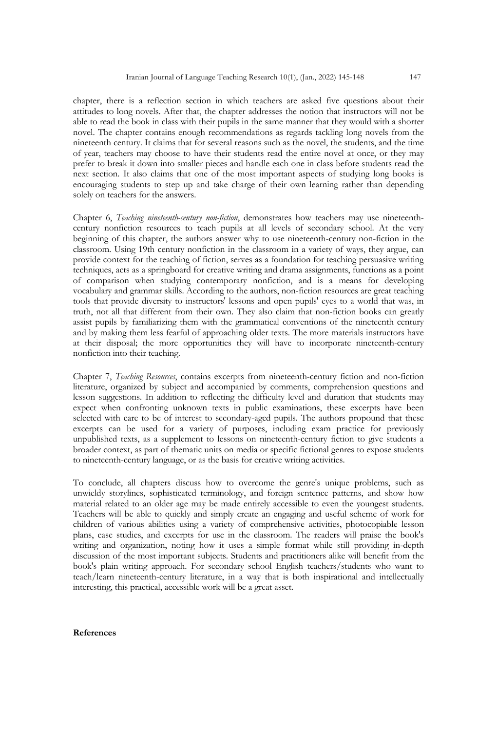chapter, there is a reflection section in which teachers are asked five questions about their attitudes to long novels. After that, the chapter addresses the notion that instructors will not be able to read the book in class with their pupils in the same manner that they would with a shorter novel. The chapter contains enough recommendations as regards tackling long novels from the nineteenth century. It claims that for several reasons such as the novel, the students, and the time of year, teachers may choose to have their students read the entire novel at once, or they may prefer to break it down into smaller pieces and handle each one in class before students read the next section. It also claims that one of the most important aspects of studying long books is encouraging students to step up and take charge of their own learning rather than depending solely on teachers for the answers.

Chapter 6, *Teaching nineteenth-century non-fiction*, demonstrates how teachers may use nineteenthcentury nonfiction resources to teach pupils at all levels of secondary school. At the very beginning of this chapter, the authors answer why to use nineteenth-century non-fiction in the classroom. Using 19th century nonfiction in the classroom in a variety of ways, they argue, can provide context for the teaching of fiction, serves as a foundation for teaching persuasive writing techniques, acts as a springboard for creative writing and drama assignments, functions as a point of comparison when studying contemporary nonfiction, and is a means for developing vocabulary and grammar skills. According to the authors, non-fiction resources are great teaching tools that provide diversity to instructors' lessons and open pupils' eyes to a world that was, in truth, not all that different from their own. They also claim that non-fiction books can greatly assist pupils by familiarizing them with the grammatical conventions of the nineteenth century and by making them less fearful of approaching older texts. The more materials instructors have at their disposal; the more opportunities they will have to incorporate nineteenth-century nonfiction into their teaching.

Chapter 7, *Teaching Resources*, contains excerpts from nineteenth-century fiction and non-fiction literature, organized by subject and accompanied by comments, comprehension questions and lesson suggestions. In addition to reflecting the difficulty level and duration that students may expect when confronting unknown texts in public examinations, these excerpts have been selected with care to be of interest to secondary-aged pupils. The authors propound that these excerpts can be used for a variety of purposes, including exam practice for previously unpublished texts, as a supplement to lessons on nineteenth-century fiction to give students a broader context, as part of thematic units on media or specific fictional genres to expose students to nineteenth-century language, or as the basis for creative writing activities.

To conclude, all chapters discuss how to overcome the genre's unique problems, such as unwieldy storylines, sophisticated terminology, and foreign sentence patterns, and show how material related to an older age may be made entirely accessible to even the youngest students. Teachers will be able to quickly and simply create an engaging and useful scheme of work for children of various abilities using a variety of comprehensive activities, photocopiable lesson plans, case studies, and excerpts for use in the classroom. The readers will praise the book's writing and organization, noting how it uses a simple format while still providing in-depth discussion of the most important subjects. Students and practitioners alike will benefit from the book's plain writing approach. For secondary school English teachers/students who want to teach/learn nineteenth-century literature, in a way that is both inspirational and intellectually interesting, this practical, accessible work will be a great asset.

## **References**